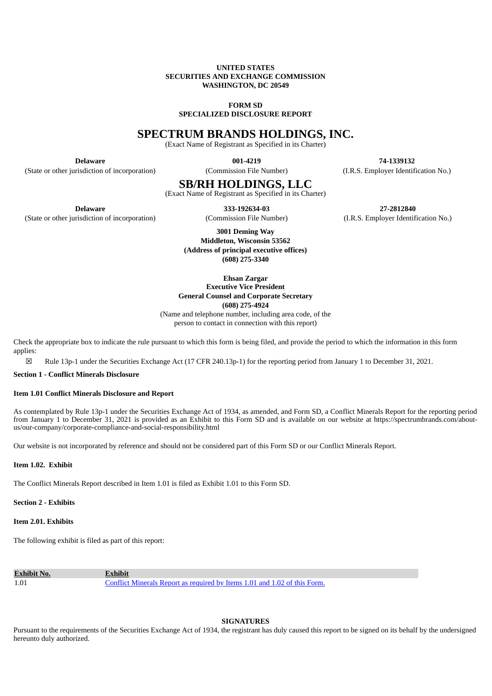## **UNITED STATES SECURITIES AND EXCHANGE COMMISSION WASHINGTON, DC 20549**

#### **FORM SD**

**SPECIALIZED DISCLOSURE REPORT**

# **SPECTRUM BRANDS HOLDINGS, INC.**

(Exact Name of Registrant as Specified in its Charter)

**Delaware 001-4219 74-1339132** (State or other jurisdiction of incorporation) (Commission File Number) (I.R.S. Employer Identification No.)

# **SB/RH HOLDINGS, LLC**

(Exact Name of Registrant as Specified in its Charter)

**Delaware 333-192634-03 27-2812840**

(State or other jurisdiction of incorporation) (Commission File Number) (I.R.S. Employer Identification No.)

**3001 Deming Way Middleton, Wisconsin 53562 (Address of principal executive offices) (608) 275-3340**

**Ehsan Zargar Executive Vice President General Counsel and Corporate Secretary (608) 275-4924**

(Name and telephone number, including area code, of the person to contact in connection with this report)

Check the appropriate box to indicate the rule pursuant to which this form is being filed, and provide the period to which the information in this form applies:

☒ Rule 13p-1 under the Securities Exchange Act (17 CFR 240.13p-1) for the reporting period from January 1 to December 31, 2021.

**Section 1 - Conflict Minerals Disclosure**

#### **Item 1.01 Conflict Minerals Disclosure and Report**

As contemplated by Rule 13p-1 under the Securities Exchange Act of 1934, as amended, and Form SD, a Conflict Minerals Report for the reporting period from January 1 to December 31, 2021 is provided as an Exhibit to this Form SD and is available on our website at https://spectrumbrands.com/aboutus/our-company/corporate-compliance-and-social-responsibility.html

Our website is not incorporated by reference and should not be considered part of this Form SD or our Conflict Minerals Report.

# **Item 1.02. Exhibit**

The Conflict Minerals Report described in Item 1.01 is filed as Exhibit 1.01 to this Form SD.

**Section 2 - Exhibits**

**Item 2.01. Exhibits**

The following exhibit is filed as part of this report:

**Exhibit No. Exhibit** 1.01 Conflict [Minerals](#page-2-0) Report as required by Items 1.01 and 1.02 of this Form.

**SIGNATURES**

Pursuant to the requirements of the Securities Exchange Act of 1934, the registrant has duly caused this report to be signed on its behalf by the undersigned hereunto duly authorized.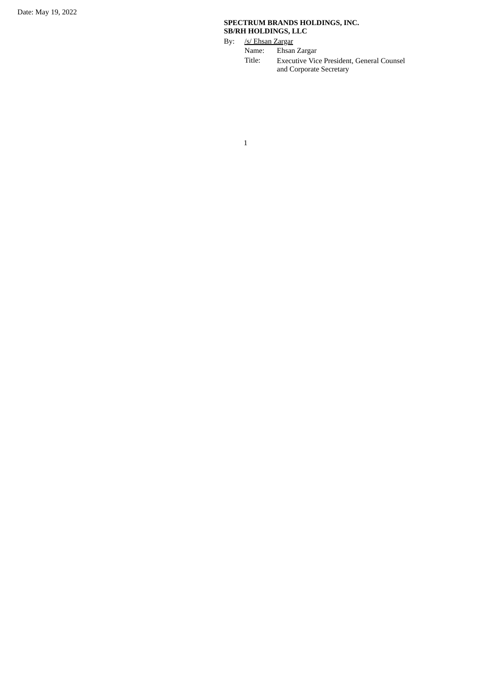# **SPECTRUM BRANDS HOLDINGS, INC. SB/RH HOLDINGS, LLC**

By: <u>/s/ Ehsan Zargar</u><br>Name: Ehsan

Ehsan Zargar

Title: Executive Vice President, General Counsel and Corporate Secretary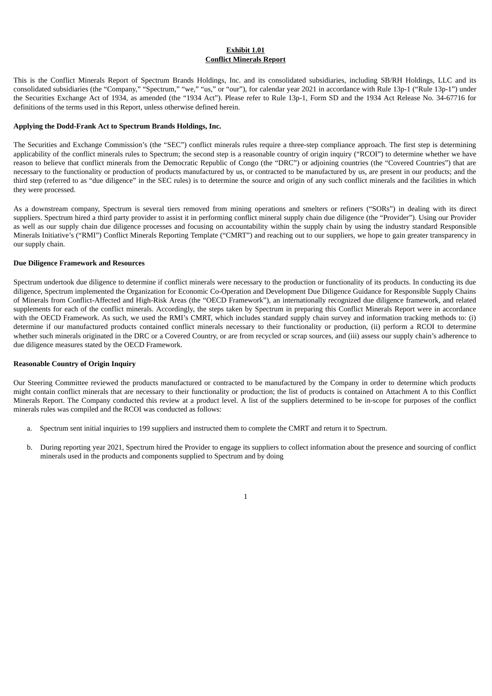# **Exhibit 1.01 Conflict Minerals Report**

<span id="page-2-0"></span>This is the Conflict Minerals Report of Spectrum Brands Holdings, Inc. and its consolidated subsidiaries, including SB/RH Holdings, LLC and its consolidated subsidiaries (the "Company," "Spectrum," "we," "us," or "our"), for calendar year 2021 in accordance with Rule 13p-1 ("Rule 13p-1") under the Securities Exchange Act of 1934, as amended (the "1934 Act"). Please refer to Rule 13p-1, Form SD and the 1934 Act Release No. 34-67716 for definitions of the terms used in this Report, unless otherwise defined herein.

#### **Applying the Dodd-Frank Act to Spectrum Brands Holdings, Inc.**

The Securities and Exchange Commission's (the "SEC") conflict minerals rules require a three-step compliance approach. The first step is determining applicability of the conflict minerals rules to Spectrum; the second step is a reasonable country of origin inquiry ("RCOI") to determine whether we have reason to believe that conflict minerals from the Democratic Republic of Congo (the "DRC") or adjoining countries (the "Covered Countries") that are necessary to the functionality or production of products manufactured by us, or contracted to be manufactured by us, are present in our products; and the third step (referred to as "due diligence" in the SEC rules) is to determine the source and origin of any such conflict minerals and the facilities in which they were processed.

As a downstream company, Spectrum is several tiers removed from mining operations and smelters or refiners ("SORs") in dealing with its direct suppliers. Spectrum hired a third party provider to assist it in performing conflict mineral supply chain due diligence (the "Provider"). Using our Provider as well as our supply chain due diligence processes and focusing on accountability within the supply chain by using the industry standard Responsible Minerals Initiative's ("RMI") Conflict Minerals Reporting Template ("CMRT") and reaching out to our suppliers, we hope to gain greater transparency in our supply chain.

#### **Due Diligence Framework and Resources**

Spectrum undertook due diligence to determine if conflict minerals were necessary to the production or functionality of its products. In conducting its due diligence, Spectrum implemented the Organization for Economic Co-Operation and Development Due Diligence Guidance for Responsible Supply Chains of Minerals from Conflict-Affected and High-Risk Areas (the "OECD Framework"), an internationally recognized due diligence framework, and related supplements for each of the conflict minerals. Accordingly, the steps taken by Spectrum in preparing this Conflict Minerals Report were in accordance with the OECD Framework. As such, we used the RMI's CMRT, which includes standard supply chain survey and information tracking methods to: (i) determine if our manufactured products contained conflict minerals necessary to their functionality or production, (ii) perform a RCOI to determine whether such minerals originated in the DRC or a Covered Country, or are from recycled or scrap sources, and (iii) assess our supply chain's adherence to due diligence measures stated by the OECD Framework.

# **Reasonable Country of Origin Inquiry**

Our Steering Committee reviewed the products manufactured or contracted to be manufactured by the Company in order to determine which products might contain conflict minerals that are necessary to their functionality or production; the list of products is contained on Attachment A to this Conflict Minerals Report. The Company conducted this review at a product level. A list of the suppliers determined to be in-scope for purposes of the conflict minerals rules was compiled and the RCOI was conducted as follows:

- a. Spectrum sent initial inquiries to 199 suppliers and instructed them to complete the CMRT and return it to Spectrum.
- b. During reporting year 2021, Spectrum hired the Provider to engage its suppliers to collect information about the presence and sourcing of conflict minerals used in the products and components supplied to Spectrum and by doing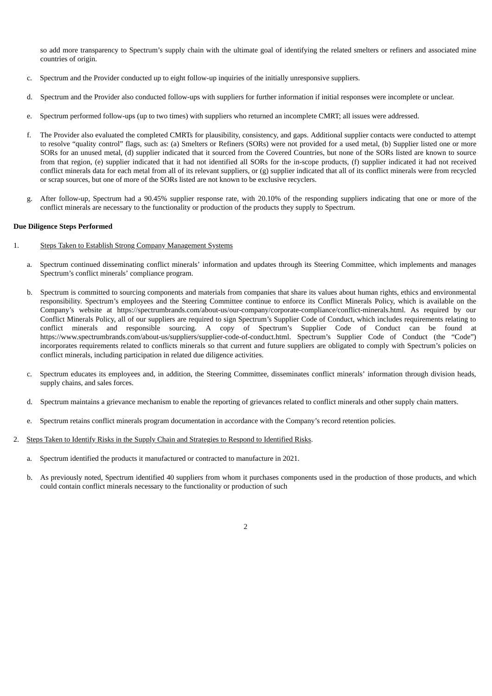so add more transparency to Spectrum's supply chain with the ultimate goal of identifying the related smelters or refiners and associated mine countries of origin.

- c. Spectrum and the Provider conducted up to eight follow-up inquiries of the initially unresponsive suppliers.
- d. Spectrum and the Provider also conducted follow-ups with suppliers for further information if initial responses were incomplete or unclear.
- e. Spectrum performed follow-ups (up to two times) with suppliers who returned an incomplete CMRT; all issues were addressed.
- f. The Provider also evaluated the completed CMRTs for plausibility, consistency, and gaps. Additional supplier contacts were conducted to attempt to resolve "quality control" flags, such as: (a) Smelters or Refiners (SORs) were not provided for a used metal, (b) Supplier listed one or more SORs for an unused metal, (d) supplier indicated that it sourced from the Covered Countries, but none of the SORs listed are known to source from that region, (e) supplier indicated that it had not identified all SORs for the in-scope products, (f) supplier indicated it had not received conflict minerals data for each metal from all of its relevant suppliers, or (g) supplier indicated that all of its conflict minerals were from recycled or scrap sources, but one of more of the SORs listed are not known to be exclusive recyclers.
- g. After follow-up, Spectrum had a 90.45% supplier response rate, with 20.10% of the responding suppliers indicating that one or more of the conflict minerals are necessary to the functionality or production of the products they supply to Spectrum.

#### **Due Diligence Steps Performed**

- 1. Steps Taken to Establish Strong Company Management Systems
	- a. Spectrum continued disseminating conflict minerals' information and updates through its Steering Committee, which implements and manages Spectrum's conflict minerals' compliance program.
	- b. Spectrum is committed to sourcing components and materials from companies that share its values about human rights, ethics and environmental responsibility. Spectrum's employees and the Steering Committee continue to enforce its Conflict Minerals Policy, which is available on the Company's website at https://spectrumbrands.com/about-us/our-company/corporate-compliance/conflict-minerals.html. As required by our Conflict Minerals Policy, all of our suppliers are required to sign Spectrum's Supplier Code of Conduct, which includes requirements relating to conflict minerals and responsible sourcing. A copy of Spectrum's Supplier Code of Conduct can be found at https://www.spectrumbrands.com/about-us/suppliers/supplier-code-of-conduct.html. Spectrum's Supplier Code of Conduct (the "Code") incorporates requirements related to conflicts minerals so that current and future suppliers are obligated to comply with Spectrum's policies on conflict minerals, including participation in related due diligence activities.
	- c. Spectrum educates its employees and, in addition, the Steering Committee, disseminates conflict minerals' information through division heads, supply chains, and sales forces.
	- d. Spectrum maintains a grievance mechanism to enable the reporting of grievances related to conflict minerals and other supply chain matters.
	- e. Spectrum retains conflict minerals program documentation in accordance with the Company's record retention policies.
- 2. Steps Taken to Identify Risks in the Supply Chain and Strategies to Respond to Identified Risks.
	- a. Spectrum identified the products it manufactured or contracted to manufacture in 2021.
	- b. As previously noted, Spectrum identified 40 suppliers from whom it purchases components used in the production of those products, and which could contain conflict minerals necessary to the functionality or production of such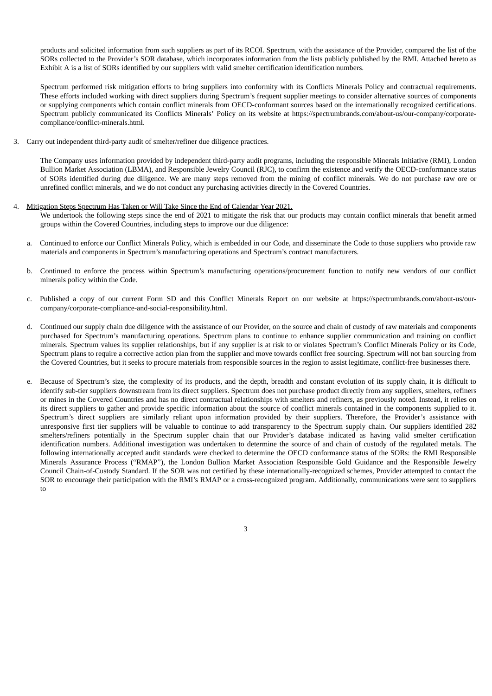products and solicited information from such suppliers as part of its RCOI. Spectrum, with the assistance of the Provider, compared the list of the SORs collected to the Provider's SOR database, which incorporates information from the lists publicly published by the RMI. Attached hereto as Exhibit A is a list of SORs identified by our suppliers with valid smelter certification identification numbers.

Spectrum performed risk mitigation efforts to bring suppliers into conformity with its Conflicts Minerals Policy and contractual requirements. These efforts included working with direct suppliers during Spectrum's frequent supplier meetings to consider alternative sources of components or supplying components which contain conflict minerals from OECD-conformant sources based on the internationally recognized certifications. Spectrum publicly communicated its Conflicts Minerals' Policy on its website at https://spectrumbrands.com/about-us/our-company/corporatecompliance/conflict-minerals.html.

#### 3. Carry out independent third-party audit of smelter/refiner due diligence practices.

The Company uses information provided by independent third-party audit programs, including the responsible Minerals Initiative (RMI), London Bullion Market Association (LBMA), and Responsible Jewelry Council (RJC), to confirm the existence and verify the OECD-conformance status of SORs identified during due diligence. We are many steps removed from the mining of conflict minerals. We do not purchase raw ore or unrefined conflict minerals, and we do not conduct any purchasing activities directly in the Covered Countries.

#### 4. Mitigation Steps Spectrum Has Taken or Will Take Since the End of Calendar Year 2021.

We undertook the following steps since the end of 2021 to mitigate the risk that our products may contain conflict minerals that benefit armed groups within the Covered Countries, including steps to improve our due diligence:

- a. Continued to enforce our Conflict Minerals Policy, which is embedded in our Code, and disseminate the Code to those suppliers who provide raw materials and components in Spectrum's manufacturing operations and Spectrum's contract manufacturers.
- b. Continued to enforce the process within Spectrum's manufacturing operations/procurement function to notify new vendors of our conflict minerals policy within the Code.
- c. Published a copy of our current Form SD and this Conflict Minerals Report on our website at https://spectrumbrands.com/about-us/ourcompany/corporate-compliance-and-social-responsibility.html.
- d. Continued our supply chain due diligence with the assistance of our Provider, on the source and chain of custody of raw materials and components purchased for Spectrum's manufacturing operations. Spectrum plans to continue to enhance supplier communication and training on conflict minerals. Spectrum values its supplier relationships, but if any supplier is at risk to or violates Spectrum's Conflict Minerals Policy or its Code, Spectrum plans to require a corrective action plan from the supplier and move towards conflict free sourcing. Spectrum will not ban sourcing from the Covered Countries, but it seeks to procure materials from responsible sources in the region to assist legitimate, conflict-free businesses there.
- e. Because of Spectrum's size, the complexity of its products, and the depth, breadth and constant evolution of its supply chain, it is difficult to identify sub-tier suppliers downstream from its direct suppliers. Spectrum does not purchase product directly from any suppliers, smelters, refiners or mines in the Covered Countries and has no direct contractual relationships with smelters and refiners, as previously noted. Instead, it relies on its direct suppliers to gather and provide specific information about the source of conflict minerals contained in the components supplied to it. Spectrum's direct suppliers are similarly reliant upon information provided by their suppliers. Therefore, the Provider's assistance with unresponsive first tier suppliers will be valuable to continue to add transparency to the Spectrum supply chain. Our suppliers identified 282 smelters/refiners potentially in the Spectrum suppler chain that our Provider's database indicated as having valid smelter certification identification numbers. Additional investigation was undertaken to determine the source of and chain of custody of the regulated metals. The following internationally accepted audit standards were checked to determine the OECD conformance status of the SORs: the RMI Responsible Minerals Assurance Process ("RMAP"), the London Bullion Market Association Responsible Gold Guidance and the Responsible Jewelry Council Chain-of-Custody Standard. If the SOR was not certified by these internationally-recognized schemes, Provider attempted to contact the SOR to encourage their participation with the RMI's RMAP or a cross-recognized program. Additionally, communications were sent to suppliers to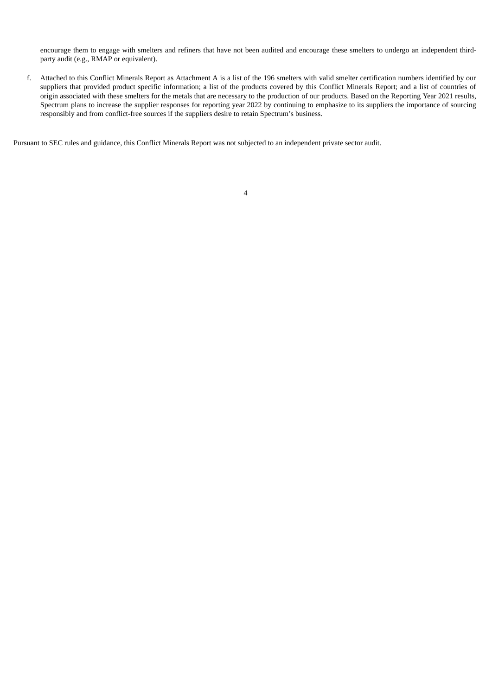encourage them to engage with smelters and refiners that have not been audited and encourage these smelters to undergo an independent thirdparty audit (e.g., RMAP or equivalent).

f. Attached to this Conflict Minerals Report as Attachment A is a list of the 196 smelters with valid smelter certification numbers identified by our suppliers that provided product specific information; a list of the products covered by this Conflict Minerals Report; and a list of countries of origin associated with these smelters for the metals that are necessary to the production of our products. Based on the Reporting Year 2021 results, Spectrum plans to increase the supplier responses for reporting year 2022 by continuing to emphasize to its suppliers the importance of sourcing responsibly and from conflict-free sources if the suppliers desire to retain Spectrum's business.

Pursuant to SEC rules and guidance, this Conflict Minerals Report was not subjected to an independent private sector audit.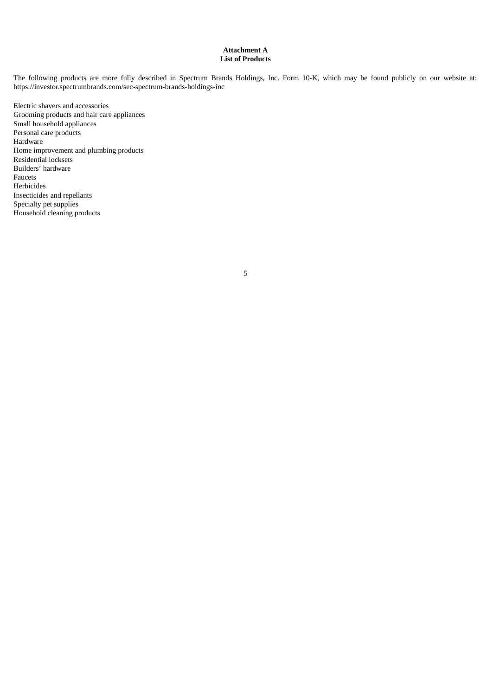## **Attachment A List of Products**

The following products are more fully described in Spectrum Brands Holdings, Inc. Form 10-K, which may be found publicly on our website at: https://investor.spectrumbrands.com/sec-spectrum-brands-holdings-inc

Electric shavers and accessories Grooming products and hair care appliances Small household appliances Personal care products Hardware Home improvement and plumbing products Residential locksets Builders' hardware Faucets Herbicides Insecticides and repellants Specialty pet supplies Household cleaning products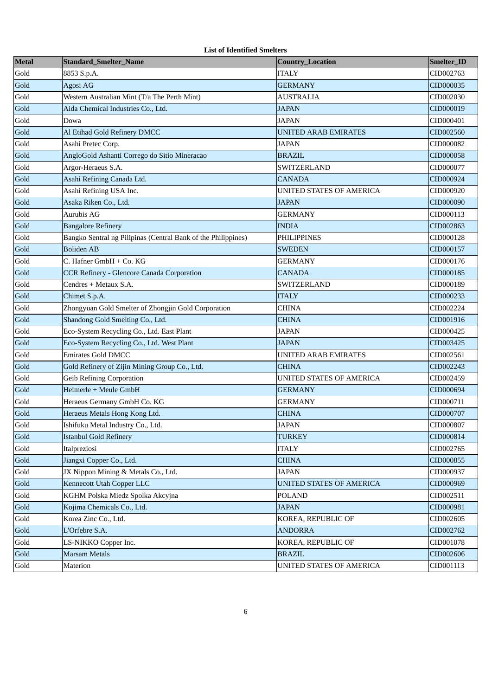|  | <b>List of Identified Smelters</b> |  |
|--|------------------------------------|--|
|--|------------------------------------|--|

| <b>Metal</b> | Standard_Smelter_Name                                         | <b>Country_Location</b>         | Smelter_ID |
|--------------|---------------------------------------------------------------|---------------------------------|------------|
| Gold         | 8853 S.p.A.                                                   | <b>ITALY</b>                    | CID002763  |
| Gold         | Agosi AG                                                      | <b>GERMANY</b>                  | CID000035  |
| Gold         | Western Australian Mint (T/a The Perth Mint)                  | <b>AUSTRALIA</b>                | CID002030  |
| Gold         | Aida Chemical Industries Co., Ltd.                            | <b>JAPAN</b>                    | CID000019  |
| Gold         | Dowa                                                          | <b>JAPAN</b>                    | CID000401  |
| Gold         | Al Etihad Gold Refinery DMCC                                  | <b>UNITED ARAB EMIRATES</b>     | CID002560  |
| Gold         | Asahi Pretec Corp.                                            | <b>JAPAN</b>                    | CID000082  |
| Gold         | AngloGold Ashanti Corrego do Sitio Mineracao                  | <b>BRAZIL</b>                   | CID000058  |
| Gold         | Argor-Heraeus S.A.                                            | <b>SWITZERLAND</b>              | CID000077  |
| Gold         | Asahi Refining Canada Ltd.                                    | <b>CANADA</b>                   | CID000924  |
| Gold         | Asahi Refining USA Inc.                                       | <b>UNITED STATES OF AMERICA</b> | CID000920  |
| Gold         | Asaka Riken Co., Ltd.                                         | <b>JAPAN</b>                    | CID000090  |
| Gold         | Aurubis AG                                                    | GERMANY                         | CID000113  |
| Gold         | <b>Bangalore Refinery</b>                                     | <b>INDIA</b>                    | CID002863  |
| Gold         | Bangko Sentral ng Pilipinas (Central Bank of the Philippines) | <b>PHILIPPINES</b>              | CID000128  |
| Gold         | <b>Boliden AB</b>                                             | SWEDEN                          | CID000157  |
| Gold         | C. Hafner GmbH + Co. KG                                       | GERMANY                         | CID000176  |
| Gold         | <b>CCR Refinery - Glencore Canada Corporation</b>             | <b>CANADA</b>                   | CID000185  |
| Gold         | Cendres + Metaux S.A.                                         | SWITZERLAND                     | CID000189  |
| Gold         | Chimet S.p.A.                                                 | <b>ITALY</b>                    | CID000233  |
| Gold         | Zhongyuan Gold Smelter of Zhongjin Gold Corporation           | CHINA                           | CID002224  |
| Gold         | Shandong Gold Smelting Co., Ltd.                              | CHINA                           | CID001916  |
| Gold         | Eco-System Recycling Co., Ltd. East Plant                     | <b>JAPAN</b>                    | CID000425  |
| Gold         | Eco-System Recycling Co., Ltd. West Plant                     | JAPAN                           | CID003425  |
| Gold         | <b>Emirates Gold DMCC</b>                                     | <b>UNITED ARAB EMIRATES</b>     | CID002561  |
| Gold         | Gold Refinery of Zijin Mining Group Co., Ltd.                 | <b>CHINA</b>                    | CID002243  |
| Gold         | <b>Geib Refining Corporation</b>                              | UNITED STATES OF AMERICA        | CID002459  |
| Gold         | Heimerle + Meule GmbH                                         | <b>GERMANY</b>                  | CID000694  |
| Gold         | Heraeus Germany GmbH Co. KG                                   | GERMANY                         | CID000711  |
| Gold         | Heraeus Metals Hong Kong Ltd.                                 | <b>CHINA</b>                    | CID000707  |
| Gold         | Ishifuku Metal Industry Co., Ltd.                             | <b>JAPAN</b>                    | CID000807  |
| Gold         | Istanbul Gold Refinery                                        | <b>TURKEY</b>                   | CID000814  |
| Gold         | Italpreziosi                                                  | <b>ITALY</b>                    | CID002765  |
| Gold         | Jiangxi Copper Co., Ltd.                                      | <b>CHINA</b>                    | CID000855  |
| Gold         | JX Nippon Mining & Metals Co., Ltd.                           | JAPAN                           | CID000937  |
| Gold         | Kennecott Utah Copper LLC                                     | UNITED STATES OF AMERICA        | CID000969  |
| Gold         | KGHM Polska Miedz Spolka Akcyjna                              | <b>POLAND</b>                   | CID002511  |
| Gold         | Kojima Chemicals Co., Ltd.                                    | <b>JAPAN</b>                    | CID000981  |
| Gold         | Korea Zinc Co., Ltd.                                          | KOREA, REPUBLIC OF              | CID002605  |
| Gold         | L'Orfebre S.A.                                                | <b>ANDORRA</b>                  | CID002762  |
| Gold         | LS-NIKKO Copper Inc.                                          | KOREA, REPUBLIC OF              | CID001078  |
| Gold         | <b>Marsam Metals</b>                                          | <b>BRAZIL</b>                   | CID002606  |
| Gold         | Materion                                                      | UNITED STATES OF AMERICA        | CID001113  |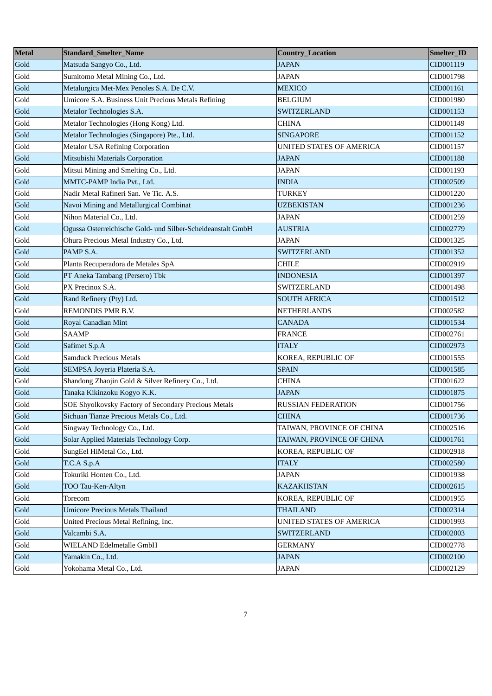| <b>Metal</b> | <b>Standard_Smelter_Name</b>                                | Country_Location          | Smelter_ID |
|--------------|-------------------------------------------------------------|---------------------------|------------|
| Gold         | Matsuda Sangyo Co., Ltd.                                    | <b>JAPAN</b>              | CID001119  |
| Gold         | Sumitomo Metal Mining Co., Ltd.                             | <b>JAPAN</b>              | CID001798  |
| Gold         | Metalurgica Met-Mex Penoles S.A. De C.V.                    | <b>MEXICO</b>             | CID001161  |
| Gold         | Umicore S.A. Business Unit Precious Metals Refining         | <b>BELGIUM</b>            | CID001980  |
| Gold         | Metalor Technologies S.A.                                   | <b>SWITZERLAND</b>        | CID001153  |
| Gold         | Metalor Technologies (Hong Kong) Ltd.                       | <b>CHINA</b>              | CID001149  |
| Gold         | Metalor Technologies (Singapore) Pte., Ltd.                 | <b>SINGAPORE</b>          | CID001152  |
| Gold         | <b>Metalor USA Refining Corporation</b>                     | UNITED STATES OF AMERICA  | CID001157  |
| Gold         | Mitsubishi Materials Corporation                            | <b>JAPAN</b>              | CID001188  |
| Gold         | Mitsui Mining and Smelting Co., Ltd.                        | <b>JAPAN</b>              | CID001193  |
| Gold         | MMTC-PAMP India Pvt., Ltd.                                  | <b>INDIA</b>              | CID002509  |
| Gold         | Nadir Metal Rafineri San. Ve Tic. A.S.                      | <b>TURKEY</b>             | CID001220  |
| Gold         | Navoi Mining and Metallurgical Combinat                     | UZBEKISTAN                | CID001236  |
| Gold         | Nihon Material Co., Ltd.                                    | <b>JAPAN</b>              | CID001259  |
| Gold         | Ogussa Osterreichische Gold- und Silber-Scheideanstalt GmbH | <b>AUSTRIA</b>            | CID002779  |
| Gold         | Ohura Precious Metal Industry Co., Ltd.                     | <b>JAPAN</b>              | CID001325  |
| Gold         | PAMP S.A.                                                   | <b>SWITZERLAND</b>        | CID001352  |
| Gold         | Planta Recuperadora de Metales SpA                          | <b>CHILE</b>              | CID002919  |
| Gold         | PT Aneka Tambang (Persero) Tbk                              | <b>INDONESIA</b>          | CID001397  |
| Gold         | PX Precinox S.A.                                            | <b>SWITZERLAND</b>        | CID001498  |
| Gold         | Rand Refinery (Pty) Ltd.                                    | <b>SOUTH AFRICA</b>       | CID001512  |
| Gold         | REMONDIS PMR B.V.                                           | <b>NETHERLANDS</b>        | CID002582  |
| Gold         | Royal Canadian Mint                                         | <b>CANADA</b>             | CID001534  |
| Gold         | <b>SAAMP</b>                                                | <b>FRANCE</b>             | CID002761  |
| Gold         | Safimet S.p.A                                               | <b>ITALY</b>              | CID002973  |
| Gold         | <b>Samduck Precious Metals</b>                              | KOREA, REPUBLIC OF        | CID001555  |
| Gold         | SEMPSA Joyeria Plateria S.A.                                | <b>SPAIN</b>              | CID001585  |
| Gold         | Shandong Zhaojin Gold & Silver Refinery Co., Ltd.           | <b>CHINA</b>              | CID001622  |
| Gold         | Tanaka Kikinzoku Kogyo K.K.                                 | <b>JAPAN</b>              | CID001875  |
| Gold         | SOE Shyolkovsky Factory of Secondary Precious Metals        | <b>RUSSIAN FEDERATION</b> | CID001756  |
| Gold         | Sichuan Tianze Precious Metals Co., Ltd.                    | <b>CHINA</b>              | CID001736  |
| Gold         | Singway Technology Co., Ltd.                                | TAIWAN, PROVINCE OF CHINA | CID002516  |
| Gold         | Solar Applied Materials Technology Corp.                    | TAIWAN, PROVINCE OF CHINA | CID001761  |
| Gold         | SungEel HiMetal Co., Ltd.                                   | KOREA, REPUBLIC OF        | CID002918  |
| Gold         | T.C.A S.p.A                                                 | <b>ITALY</b>              | CID002580  |
| Gold         | Tokuriki Honten Co., Ltd.                                   | <b>JAPAN</b>              | CID001938  |
| Gold         | TOO Tau-Ken-Altyn                                           | <b>KAZAKHSTAN</b>         | CID002615  |
| Gold         | Torecom                                                     | KOREA, REPUBLIC OF        | CID001955  |
| Gold         | <b>Umicore Precious Metals Thailand</b>                     | <b>THAILAND</b>           | CID002314  |
| Gold         | United Precious Metal Refining, Inc.                        | UNITED STATES OF AMERICA  | CID001993  |
| Gold         | Valcambi S.A.                                               | SWITZERLAND               | CID002003  |
| Gold         | WIELAND Edelmetalle GmbH                                    | <b>GERMANY</b>            | CID002778  |
| Gold         | Yamakin Co., Ltd.                                           | <b>JAPAN</b>              | CID002100  |
| Gold         | Yokohama Metal Co., Ltd.                                    | <b>JAPAN</b>              | CID002129  |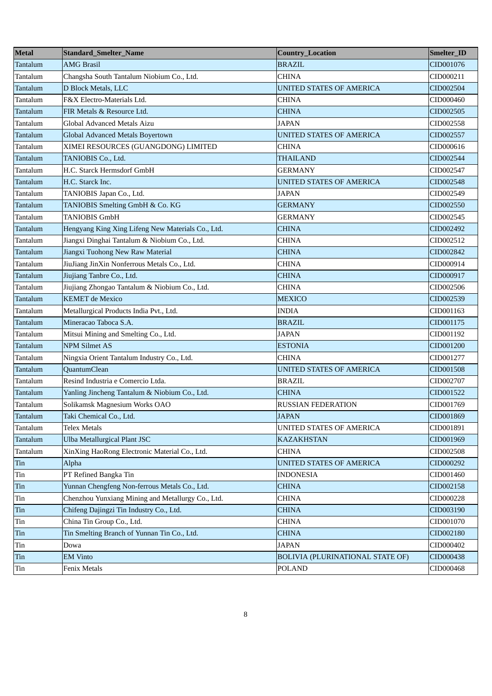| <b>Metal</b> | <b>Standard_Smelter_Name</b>                      | <b>Country_Location</b>          | Smelter_ID |
|--------------|---------------------------------------------------|----------------------------------|------------|
| Tantalum     | <b>AMG Brasil</b>                                 | <b>BRAZIL</b>                    | CID001076  |
| Tantalum     | Changsha South Tantalum Niobium Co., Ltd.         | CHINA                            | CID000211  |
| Tantalum     | D Block Metals, LLC                               | UNITED STATES OF AMERICA         | CID002504  |
| Tantalum     | F&X Electro-Materials Ltd.                        | CHINA                            | CID000460  |
| Tantalum     | FIR Metals & Resource Ltd.                        | CHINA                            | CID002505  |
| Tantalum     | Global Advanced Metals Aizu                       | <b>JAPAN</b>                     | CID002558  |
| Tantalum     | Global Advanced Metals Boyertown                  | UNITED STATES OF AMERICA         | CID002557  |
| Tantalum     | XIMEI RESOURCES (GUANGDONG) LIMITED               | CHINA                            | CID000616  |
| Tantalum     | TANIOBIS Co., Ltd.                                | <b>THAILAND</b>                  | CID002544  |
| Tantalum     | H.C. Starck Hermsdorf GmbH                        | <b>GERMANY</b>                   | CID002547  |
| Tantalum     | H.C. Starck Inc.                                  | <b>UNITED STATES OF AMERICA</b>  | CID002548  |
| Tantalum     | TANIOBIS Japan Co., Ltd.                          | <b>JAPAN</b>                     | CID002549  |
| Tantalum     | TANIOBIS Smelting GmbH & Co. KG                   | GERMANY                          | CID002550  |
| Tantalum     | <b>TANIOBIS GmbH</b>                              | <b>GERMANY</b>                   | CID002545  |
| Tantalum     | Hengyang King Xing Lifeng New Materials Co., Ltd. | <b>CHINA</b>                     | CID002492  |
| Tantalum     | Jiangxi Dinghai Tantalum & Niobium Co., Ltd.      | CHINA                            | CID002512  |
| Tantalum     | Jiangxi Tuohong New Raw Material                  | <b>CHINA</b>                     | CID002842  |
| Tantalum     | JiuJiang JinXin Nonferrous Metals Co., Ltd.       | <b>CHINA</b>                     | CID000914  |
| Tantalum     | Jiujiang Tanbre Co., Ltd.                         | <b>CHINA</b>                     | CID000917  |
| Tantalum     | Jiujiang Zhongao Tantalum & Niobium Co., Ltd.     | <b>CHINA</b>                     | CID002506  |
| Tantalum     | <b>KEMET</b> de Mexico                            | <b>MEXICO</b>                    | CID002539  |
| Tantalum     | Metallurgical Products India Pvt., Ltd.           | <b>INDIA</b>                     | CID001163  |
| Tantalum     | Mineracao Taboca S.A.                             | <b>BRAZIL</b>                    | CID001175  |
| Tantalum     | Mitsui Mining and Smelting Co., Ltd.              | JAPAN                            | CID001192  |
| Tantalum     | <b>NPM Silmet AS</b>                              | <b>ESTONIA</b>                   | CID001200  |
| Tantalum     | Ningxia Orient Tantalum Industry Co., Ltd.        | CHINA                            | CID001277  |
| Tantalum     | QuantumClean                                      | UNITED STATES OF AMERICA         | CID001508  |
| Tantalum     | Resind Industria e Comercio Ltda.                 | <b>BRAZIL</b>                    | CID002707  |
| Tantalum     | Yanling Jincheng Tantalum & Niobium Co., Ltd.     | <b>CHINA</b>                     | CID001522  |
| Tantalum     | Solikamsk Magnesium Works OAO                     | <b>RUSSIAN FEDERATION</b>        | CID001769  |
| Tantalum     | Taki Chemical Co., Ltd.                           | <b>JAPAN</b>                     | CID001869  |
| Tantalum     | <b>Telex Metals</b>                               | UNITED STATES OF AMERICA         | CID001891  |
| Tantalum     | Ulba Metallurgical Plant JSC                      | <b>KAZAKHSTAN</b>                | CID001969  |
| Tantalum     | XinXing HaoRong Electronic Material Co., Ltd.     | CHINA                            | CID002508  |
| Tin          | Alpha                                             | UNITED STATES OF AMERICA         | CID000292  |
| Tin          | PT Refined Bangka Tin                             | INDONESIA                        | CID001460  |
| Tin          | Yunnan Chengfeng Non-ferrous Metals Co., Ltd.     | <b>CHINA</b>                     | CID002158  |
| Tin          | Chenzhou Yunxiang Mining and Metallurgy Co., Ltd. | CHINA                            | CID000228  |
| Tin          | Chifeng Dajingzi Tin Industry Co., Ltd.           | CHINA                            | CID003190  |
| Tin          | China Tin Group Co., Ltd.                         | CHINA                            | CID001070  |
| Tin          | Tin Smelting Branch of Yunnan Tin Co., Ltd.       | CHINA                            | CID002180  |
| Tin          | Dowa                                              | <b>JAPAN</b>                     | CID000402  |
| Tin          | <b>EM Vinto</b>                                   | BOLIVIA (PLURINATIONAL STATE OF) | CID000438  |
| Tin          | Fenix Metals                                      | <b>POLAND</b>                    | CID000468  |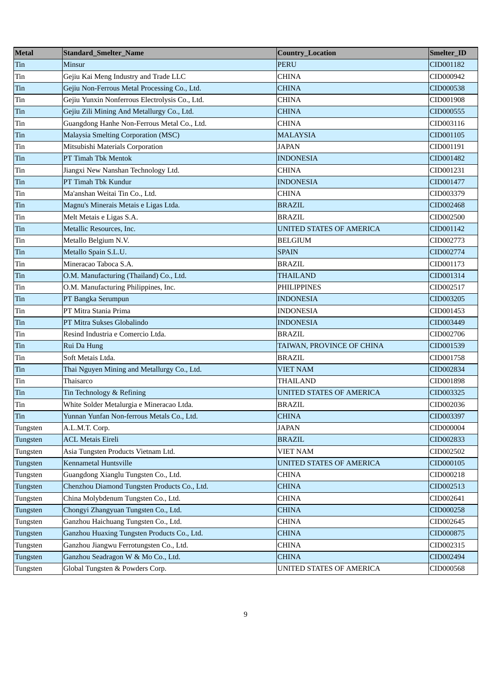| <b>Metal</b> | <b>Standard_Smelter_Name</b>                   | Country_Location          | Smelter_ID |
|--------------|------------------------------------------------|---------------------------|------------|
| Tin          | Minsur                                         | <b>PERU</b>               | CID001182  |
| Tin          | Gejiu Kai Meng Industry and Trade LLC          | <b>CHINA</b>              | CID000942  |
| Tin          | Gejiu Non-Ferrous Metal Processing Co., Ltd.   | <b>CHINA</b>              | CID000538  |
| Tin          | Gejiu Yunxin Nonferrous Electrolysis Co., Ltd. | <b>CHINA</b>              | CID001908  |
| Tin          | Gejiu Zili Mining And Metallurgy Co., Ltd.     | <b>CHINA</b>              | CID000555  |
| Tin          | Guangdong Hanhe Non-Ferrous Metal Co., Ltd.    | <b>CHINA</b>              | CID003116  |
| Tin          | Malaysia Smelting Corporation (MSC)            | MALAYSIA                  | CID001105  |
| Tin          | Mitsubishi Materials Corporation               | <b>JAPAN</b>              | CID001191  |
| Tin          | PT Timah Tbk Mentok                            | <b>INDONESIA</b>          | CID001482  |
| Tin          | Jiangxi New Nanshan Technology Ltd.            | <b>CHINA</b>              | CID001231  |
| Tin          | PT Timah Tbk Kundur                            | <b>INDONESIA</b>          | CID001477  |
| Tin          | Ma'anshan Weitai Tin Co., Ltd.                 | <b>CHINA</b>              | CID003379  |
| Tin          | Magnu's Minerais Metais e Ligas Ltda.          | <b>BRAZIL</b>             | CID002468  |
| Tin          | Melt Metais e Ligas S.A.                       | <b>BRAZIL</b>             | CID002500  |
| Tin          | Metallic Resources, Inc.                       | UNITED STATES OF AMERICA  | CID001142  |
| Tin          | Metallo Belgium N.V.                           | BELGIUM                   | CID002773  |
| Tin          | Metallo Spain S.L.U.                           | <b>SPAIN</b>              | CID002774  |
| Tin          | Mineracao Taboca S.A.                          | <b>BRAZIL</b>             | CID001173  |
| Tin          | O.M. Manufacturing (Thailand) Co., Ltd.        | THAILAND                  | CID001314  |
| Tin          | O.M. Manufacturing Philippines, Inc.           | <b>PHILIPPINES</b>        | CID002517  |
| Tin          | PT Bangka Serumpun                             | <b>INDONESIA</b>          | CID003205  |
| Tin          | PT Mitra Stania Prima                          | <b>INDONESIA</b>          | CID001453  |
| Tin          | PT Mitra Sukses Globalindo                     | <b>INDONESIA</b>          | CID003449  |
| Tin          | Resind Industria e Comercio Ltda.              | <b>BRAZIL</b>             | CID002706  |
| Tin          | Rui Da Hung                                    | TAIWAN, PROVINCE OF CHINA | CID001539  |
| Tin          | Soft Metais Ltda.                              | <b>BRAZIL</b>             | CID001758  |
| Tin          | Thai Nguyen Mining and Metallurgy Co., Ltd.    | VIET NAM                  | CID002834  |
| Tin          | Thaisarco                                      | <b>THAILAND</b>           | CID001898  |
| Tin          | Tin Technology & Refining                      | UNITED STATES OF AMERICA  | CID003325  |
| Tin          | White Solder Metalurgia e Mineracao Ltda.      | <b>BRAZIL</b>             | CID002036  |
| Tin          | Yunnan Yunfan Non-ferrous Metals Co., Ltd.     | <b>CHINA</b>              | CID003397  |
| Tungsten     | A.L.M.T. Corp.                                 | JAPAN                     | CID000004  |
| Tungsten     | <b>ACL Metais Eireli</b>                       | <b>BRAZIL</b>             | CID002833  |
| Tungsten     | Asia Tungsten Products Vietnam Ltd.            | <b>VIET NAM</b>           | CID002502  |
| Tungsten     | <b>Kennametal Huntsville</b>                   | UNITED STATES OF AMERICA  | CID000105  |
| Tungsten     | Guangdong Xianglu Tungsten Co., Ltd.           | CHINA                     | CID000218  |
| Tungsten     | Chenzhou Diamond Tungsten Products Co., Ltd.   | <b>CHINA</b>              | CID002513  |
| Tungsten     | China Molybdenum Tungsten Co., Ltd.            | CHINA                     | CID002641  |
| Tungsten     | Chongyi Zhangyuan Tungsten Co., Ltd.           | <b>CHINA</b>              | CID000258  |
| Tungsten     | Ganzhou Haichuang Tungsten Co., Ltd.           | CHINA                     | CID002645  |
| Tungsten     | Ganzhou Huaxing Tungsten Products Co., Ltd.    | <b>CHINA</b>              | CID000875  |
| Tungsten     | Ganzhou Jiangwu Ferrotungsten Co., Ltd.        | <b>CHINA</b>              | CID002315  |
| Tungsten     | Ganzhou Seadragon W & Mo Co., Ltd.             | <b>CHINA</b>              | CID002494  |
| Tungsten     | Global Tungsten & Powders Corp.                | UNITED STATES OF AMERICA  | CID000568  |